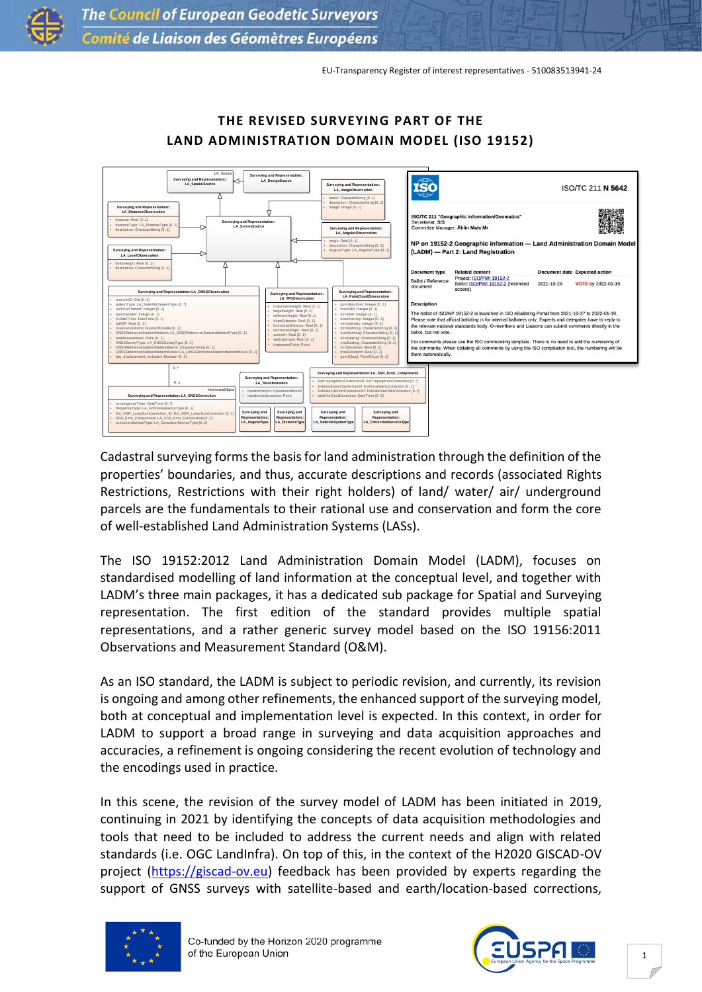EU-Transparency Register of interest representatives - 510083513941-24



## **THE REVISED SURVEYING PART OF THE LAND ADMINISTRATION DOMAIN MODEL (ISO 19152)**

Cadastral surveying forms the basis for land administration through the definition of the properties' boundaries, and thus, accurate descriptions and records (associated Rights Restrictions, Restrictions with their right holders) of land/ water/ air/ underground parcels are the fundamentals to their rational use and conservation and form the core of well-established Land Administration Systems (LASs).

The ISO 19152:2012 Land Administration Domain Model (LADM), focuses on standardised modelling of land information at the conceptual level, and together with LADM's three main packages, it has a dedicated sub package for Spatial and Surveying representation. The first edition of the standard provides multiple spatial representations, and a rather generic survey model based on the ISO 19156:2011 Observations and Measurement Standard (O&M).

As an ISO standard, the LADM is subject to periodic revision, and currently, its revision is ongoing and among other refinements, the enhanced support of the surveying model, both at conceptual and implementation level is expected. In this context, in order for LADM to support a broad range in surveying and data acquisition approaches and accuracies, a refinement is ongoing considering the recent evolution of technology and the encodings used in practice.

In this scene, the revision of the survey model of LADM has been initiated in 2019, continuing in 2021 by identifying the concepts of data acquisition methodologies and tools that need to be included to address the current needs and align with related standards (i.e. OGC LandInfra). On top of this, in the context of the H2020 GISCAD-OV project [\(https://giscad-ov.eu\)](https://giscad-ov.eu/) feedback has been provided by experts regarding the support of GNSS surveys with satellite-based and earth/location-based corrections,